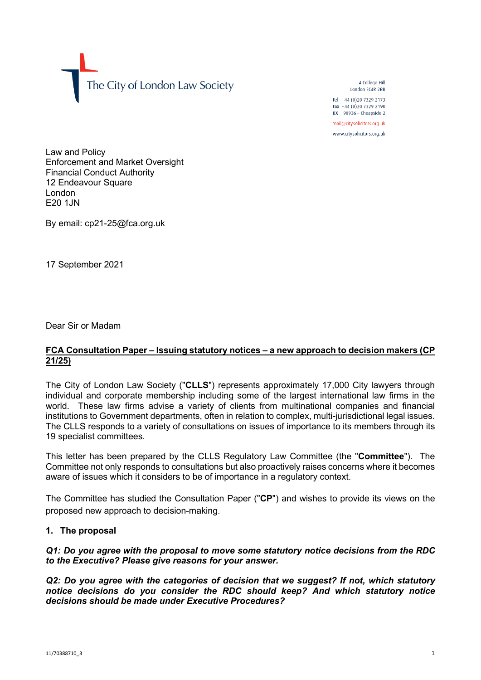The City of London Law Society

4 College Hill London FC4R 2RB

Tel +44 (0)20 7329 2173 Fax +44 (0)20 7329 2190 DX  $98936$  - Cheapside 2 mail@citysolicitors.org.uk

www.citysolicitors.org.uk

Law and Policy Enforcement and Market Oversight Financial Conduct Authority 12 Endeavour Square London **E20 1.IN** 

By email: cp21-25@fca.org.uk

17 September 2021

Dear Sir or Madam

## **FCA Consultation Paper – Issuing statutory notices – a new approach to decision makers (CP 21/25)**

The City of London Law Society ("**CLLS**") represents approximately 17,000 City lawyers through individual and corporate membership including some of the largest international law firms in the world. These law firms advise a variety of clients from multinational companies and financial institutions to Government departments, often in relation to complex, multi-jurisdictional legal issues. The CLLS responds to a variety of consultations on issues of importance to its members through its 19 specialist committees.

This letter has been prepared by the CLLS Regulatory Law Committee (the "**Committee**"). The Committee not only responds to consultations but also proactively raises concerns where it becomes aware of issues which it considers to be of importance in a regulatory context.

The Committee has studied the Consultation Paper ("**CP**") and wishes to provide its views on the proposed new approach to decision-making.

# **1. The proposal**

# *Q1: Do you agree with the proposal to move some statutory notice decisions from the RDC to the Executive? Please give reasons for your answer.*

*Q2: Do you agree with the categories of decision that we suggest? If not, which statutory notice decisions do you consider the RDC should keep? And which statutory notice decisions should be made under Executive Procedures?*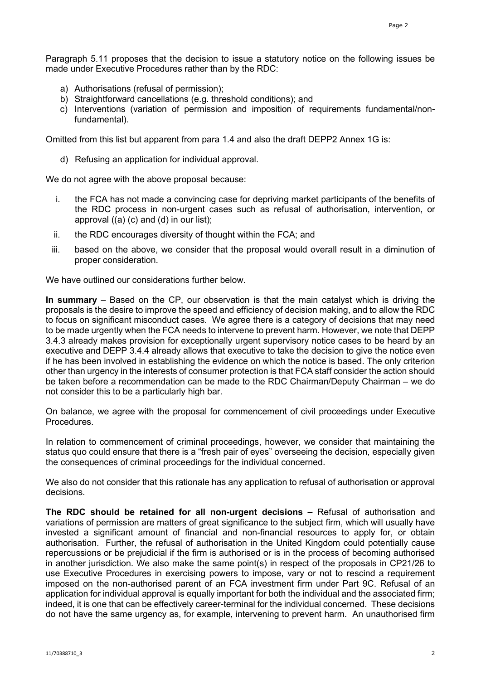Paragraph 5.11 proposes that the decision to issue a statutory notice on the following issues be made under Executive Procedures rather than by the RDC:

- a) Authorisations (refusal of permission);
- b) Straightforward cancellations (e.g. threshold conditions); and
- c) Interventions (variation of permission and imposition of requirements fundamental/nonfundamental).

Omitted from this list but apparent from para 1.4 and also the draft DEPP2 Annex 1G is:

d) Refusing an application for individual approval.

We do not agree with the above proposal because:

- i. the FCA has not made a convincing case for depriving market participants of the benefits of the RDC process in non-urgent cases such as refusal of authorisation, intervention, or approval  $((a)$   $(c)$  and  $(d)$  in our list);
- ii. the RDC encourages diversity of thought within the FCA; and
- iii. based on the above, we consider that the proposal would overall result in a diminution of proper consideration.

We have outlined our considerations further below

**In summary** – Based on the CP, our observation is that the main catalyst which is driving the proposals is the desire to improve the speed and efficiency of decision making, and to allow the RDC to focus on significant misconduct cases. We agree there is a category of decisions that may need to be made urgently when the FCA needs to intervene to prevent harm. However, we note that DEPP 3.4.3 already makes provision for exceptionally urgent supervisory notice cases to be heard by an executive and DEPP 3.4.4 already allows that executive to take the decision to give the notice even if he has been involved in establishing the evidence on which the notice is based. The only criterion other than urgency in the interests of consumer protection is that FCA staff consider the action should be taken before a recommendation can be made to the RDC Chairman/Deputy Chairman – we do not consider this to be a particularly high bar.

On balance, we agree with the proposal for commencement of civil proceedings under Executive Procedures.

In relation to commencement of criminal proceedings, however, we consider that maintaining the status quo could ensure that there is a "fresh pair of eyes" overseeing the decision, especially given the consequences of criminal proceedings for the individual concerned.

We also do not consider that this rationale has any application to refusal of authorisation or approval decisions.

**The RDC should be retained for all non-urgent decisions –** Refusal of authorisation and variations of permission are matters of great significance to the subject firm, which will usually have invested a significant amount of financial and non-financial resources to apply for, or obtain authorisation. Further, the refusal of authorisation in the United Kingdom could potentially cause repercussions or be prejudicial if the firm is authorised or is in the process of becoming authorised in another jurisdiction. We also make the same point(s) in respect of the proposals in CP21/26 to use Executive Procedures in exercising powers to impose, vary or not to rescind a requirement imposed on the non-authorised parent of an FCA investment firm under Part 9C. Refusal of an application for individual approval is equally important for both the individual and the associated firm; indeed, it is one that can be effectively career-terminal for the individual concerned. These decisions do not have the same urgency as, for example, intervening to prevent harm. An unauthorised firm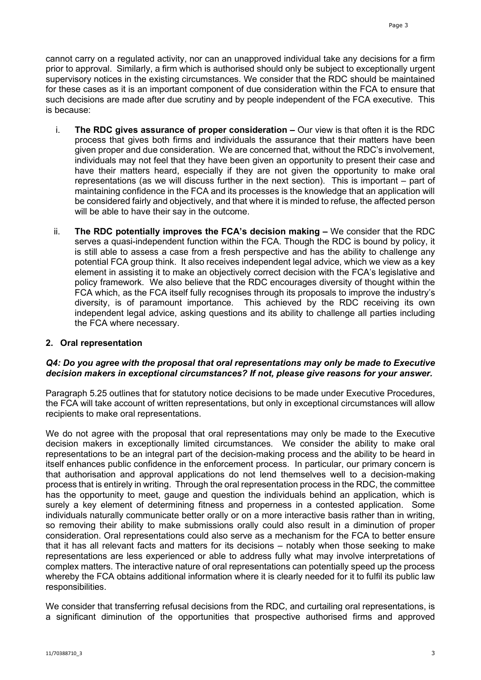cannot carry on a regulated activity, nor can an unapproved individual take any decisions for a firm prior to approval. Similarly, a firm which is authorised should only be subject to exceptionally urgent supervisory notices in the existing circumstances. We consider that the RDC should be maintained for these cases as it is an important component of due consideration within the FCA to ensure that such decisions are made after due scrutiny and by people independent of the FCA executive. This is because:

- i. **The RDC gives assurance of proper consideration –** Our view is that often it is the RDC process that gives both firms and individuals the assurance that their matters have been given proper and due consideration. We are concerned that, without the RDC's involvement, individuals may not feel that they have been given an opportunity to present their case and have their matters heard, especially if they are not given the opportunity to make oral representations (as we will discuss further in the next section). This is important – part of maintaining confidence in the FCA and its processes is the knowledge that an application will be considered fairly and objectively, and that where it is minded to refuse, the affected person will be able to have their say in the outcome.
- ii. **The RDC potentially improves the FCA's decision making –** We consider that the RDC serves a quasi-independent function within the FCA. Though the RDC is bound by policy, it is still able to assess a case from a fresh perspective and has the ability to challenge any potential FCA group think. It also receives independent legal advice, which we view as a key element in assisting it to make an objectively correct decision with the FCA's legislative and policy framework. We also believe that the RDC encourages diversity of thought within the FCA which, as the FCA itself fully recognises through its proposals to improve the industry's diversity, is of paramount importance. This achieved by the RDC receiving its own independent legal advice, asking questions and its ability to challenge all parties including the FCA where necessary.

## **2. Oral representation**

## *Q4: Do you agree with the proposal that oral representations may only be made to Executive decision makers in exceptional circumstances? If not, please give reasons for your answer.*

Paragraph 5.25 outlines that for statutory notice decisions to be made under Executive Procedures, the FCA will take account of written representations, but only in exceptional circumstances will allow recipients to make oral representations.

We do not agree with the proposal that oral representations may only be made to the Executive decision makers in exceptionally limited circumstances. We consider the ability to make oral representations to be an integral part of the decision-making process and the ability to be heard in itself enhances public confidence in the enforcement process. In particular, our primary concern is that authorisation and approval applications do not lend themselves well to a decision-making process that is entirely in writing. Through the oral representation process in the RDC, the committee has the opportunity to meet, gauge and question the individuals behind an application, which is surely a key element of determining fitness and properness in a contested application. Some individuals naturally communicate better orally or on a more interactive basis rather than in writing, so removing their ability to make submissions orally could also result in a diminution of proper consideration. Oral representations could also serve as a mechanism for the FCA to better ensure that it has all relevant facts and matters for its decisions – notably when those seeking to make representations are less experienced or able to address fully what may involve interpretations of complex matters. The interactive nature of oral representations can potentially speed up the process whereby the FCA obtains additional information where it is clearly needed for it to fulfil its public law responsibilities.

We consider that transferring refusal decisions from the RDC, and curtailing oral representations, is a significant diminution of the opportunities that prospective authorised firms and approved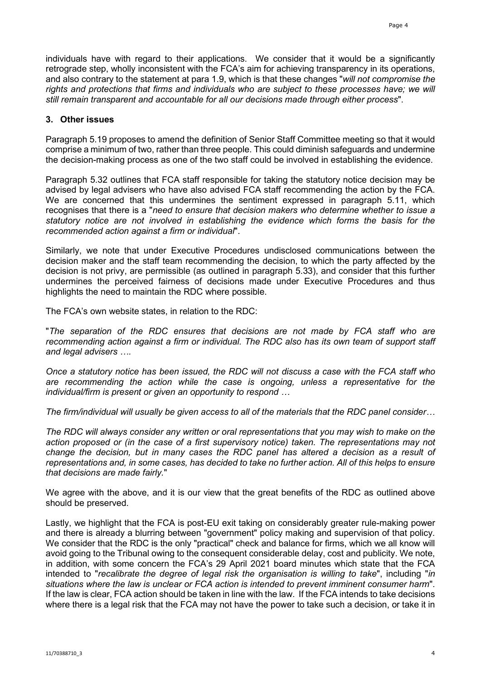individuals have with regard to their applications. We consider that it would be a significantly retrograde step, wholly inconsistent with the FCA's aim for achieving transparency in its operations, and also contrary to the statement at para 1.9, which is that these changes "*will not compromise the rights and protections that firms and individuals who are subject to these processes have; we will still remain transparent and accountable for all our decisions made through either process*".

## **3. Other issues**

Paragraph 5.19 proposes to amend the definition of Senior Staff Committee meeting so that it would comprise a minimum of two, rather than three people. This could diminish safeguards and undermine the decision-making process as one of the two staff could be involved in establishing the evidence.

Paragraph 5.32 outlines that FCA staff responsible for taking the statutory notice decision may be advised by legal advisers who have also advised FCA staff recommending the action by the FCA. We are concerned that this undermines the sentiment expressed in paragraph 5.11, which recognises that there is a "*need to ensure that decision makers who determine whether to issue a statutory notice are not involved in establishing the evidence which forms the basis for the recommended action against a firm or individual*".

Similarly, we note that under Executive Procedures undisclosed communications between the decision maker and the staff team recommending the decision, to which the party affected by the decision is not privy, are permissible (as outlined in paragraph 5.33), and consider that this further undermines the perceived fairness of decisions made under Executive Procedures and thus highlights the need to maintain the RDC where possible.

The FCA's own website states, in relation to the RDC:

"*The separation of the RDC ensures that decisions are not made by FCA staff who are recommending action against a firm or individual. The RDC also has its own team of support staff and legal advisers ….*

*Once a statutory notice has been issued, the RDC will not discuss a case with the FCA staff who are recommending the action while the case is ongoing, unless a representative for the individual/firm is present or given an opportunity to respond …* 

*The firm/individual will usually be given access to all of the materials that the RDC panel consider…*

*The RDC will always consider any written or oral representations that you may wish to make on the action proposed or (in the case of a first supervisory notice) taken. The representations may not change the decision, but in many cases the RDC panel has altered a decision as a result of representations and, in some cases, has decided to take no further action. All of this helps to ensure that decisions are made fairly.*"

We agree with the above, and it is our view that the great benefits of the RDC as outlined above should be preserved.

Lastly, we highlight that the FCA is post-EU exit taking on considerably greater rule-making power and there is already a blurring between "government" policy making and supervision of that policy. We consider that the RDC is the only "practical" check and balance for firms, which we all know will avoid going to the Tribunal owing to the consequent considerable delay, cost and publicity. We note, in addition, with some concern the FCA's 29 April 2021 board minutes which state that the FCA intended to "*recalibrate the degree of legal risk the organisation is willing to take*", including "*in situations where the law is unclear or FCA action is intended to prevent imminent consumer harm*". If the law is clear, FCA action should be taken in line with the law. If the FCA intends to take decisions where there is a legal risk that the FCA may not have the power to take such a decision, or take it in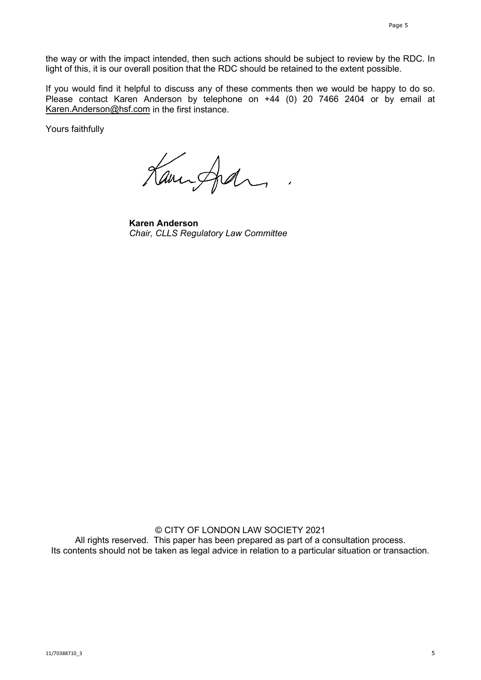the way or with the impact intended, then such actions should be subject to review by the RDC. In light of this, it is our overall position that the RDC should be retained to the extent possible.

If you would find it helpful to discuss any of these comments then we would be happy to do so. Please contact Karen Anderson by telephone on +44 (0) 20 7466 2404 or by email at [Karen.Anderson@hsf.com](mailto:Karen.Anderson@hsf.com) in the first instance.

Yours faithfully

Kannford

**Karen Anderson** *Chair, CLLS Regulatory Law Committee*

© CITY OF LONDON LAW SOCIETY 2021 All rights reserved. This paper has been prepared as part of a consultation process. Its contents should not be taken as legal advice in relation to a particular situation or transaction.